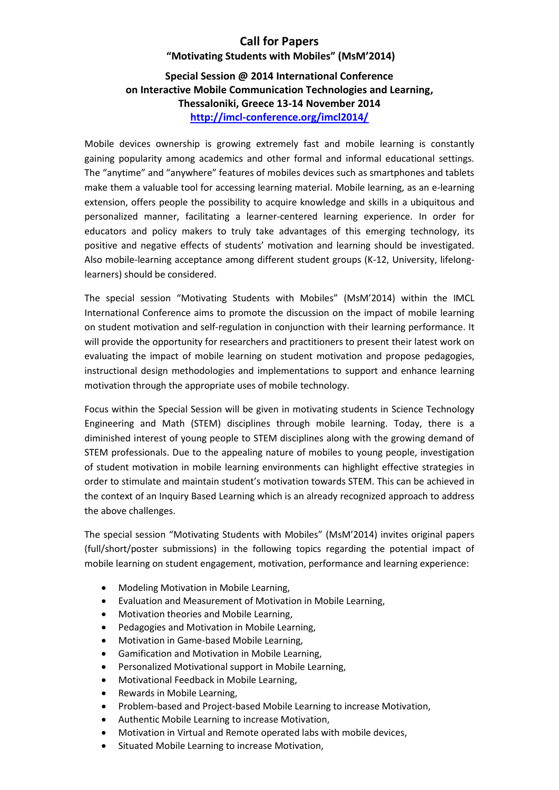# **Call for Papers**

# **"Motivating Students with Mobiles" (MsM'2014)**

# **Special Session @ 2014 International Conference on Interactive Mobile Communication Technologies and Learning, Thessaloniki, Greece 13-14 November 2014 <http://imcl-conference.org/imcl2014/>**

Mobile devices ownership is growing extremely fast and mobile learning is constantly gaining popularity among academics and other formal and informal educational settings. The "anytime" and "anywhere" features of mobiles devices such as smartphones and tablets make them a valuable tool for accessing learning material. Mobile learning, as an e-learning extension, offers people the possibility to acquire knowledge and skills in a ubiquitous and personalized manner, facilitating a learner-centered learning experience. In order for educators and policy makers to truly take advantages of this emerging technology, its positive and negative effects of students' motivation and learning should be investigated. Also mobile-learning acceptance among different student groups (K-12, University, lifelonglearners) should be considered.

The special session "Motivating Students with Mobiles" (MsM'2014) within the IMCL International Conference aims to promote the discussion on the impact of mobile learning on student motivation and self-regulation in conjunction with their learning performance. It will provide the opportunity for researchers and practitioners to present their latest work on evaluating the impact of mobile learning on student motivation and propose pedagogies, instructional design methodologies and implementations to support and enhance learning motivation through the appropriate uses of mobile technology.

Focus within the Special Session will be given in motivating students in Science Technology Engineering and Math (STEM) disciplines through mobile learning. Today, there is a diminished interest of young people to STEM disciplines along with the growing demand of STEM professionals. Due to the appealing nature of mobiles to young people, investigation of student motivation in mobile learning environments can highlight effective strategies in order to stimulate and maintain student's motivation towards STEM. This can be achieved in the context of an Inquiry Based Learning which is an already recognized approach to address the above challenges.

The special session "Motivating Students with Mobiles" (MsM'2014) invites original papers (full/short/poster submissions) in the following topics regarding the potential impact of mobile learning on student engagement, motivation, performance and learning experience:

- Modeling Motivation in Mobile Learning,
- Evaluation and Measurement of Motivation in Mobile Learning,
- Motivation theories and Mobile Learning,
- Pedagogies and Motivation in Mobile Learning,
- Motivation in Game-based Mobile Learning,
- Gamification and Motivation in Mobile Learning,
- Personalized Motivational support in Mobile Learning,
- Motivational Feedback in Mobile Learning,
- Rewards in Mobile Learning,
- Problem-based and Project-based Mobile Learning to increase Motivation,
- Authentic Mobile Learning to increase Motivation,
- Motivation in Virtual and Remote operated labs with mobile devices,
- Situated Mobile Learning to increase Motivation,